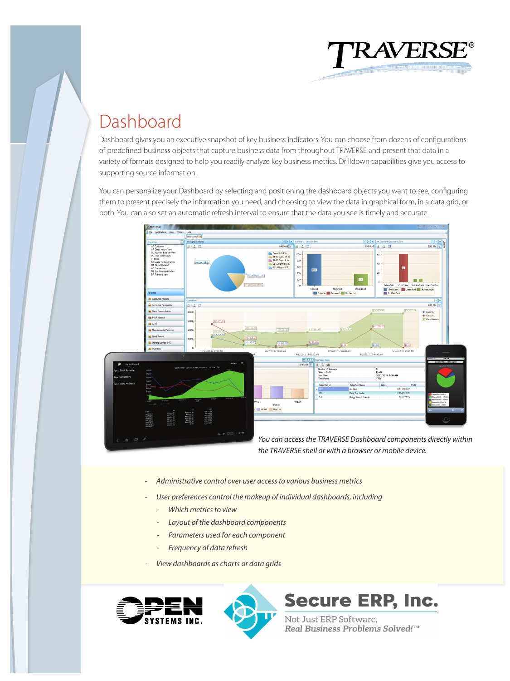

## Dashboard

Dashboard gives you an executive snapshot of key business indicators. You can choose from dozens of configurations of predefined business objects that capture business data from throughout TRAVERSE and present that data in a variety of formats designed to help you readily analyze key business metrics. Drilldown capabilities give you access to supporting source information.

You can personalize your Dashboard by selecting and positioning the dashboard objects you want to see, configuring them to present precisely the information you need, and choosing to view the data in graphical form, in a data grid, or both. You can also set an automatic refresh interval to ensure that the data you see is timely and accurate.



*the TRAVERSE shell or with a browser or mobile device.*

- *Administrative control over user access to various business metrics*
- *User preferences control the makeup of individual dashboards, including*
	- *Which metrics to view*
	- *Layout of the dashboard components*
	- *Parameters used for each component*
	- *Frequency of data refresh*
- *View dashboards as charts or data grids*





# **Secure ERP, Inc.**

Not Just ERP Software,<br>*Real Business Problems Solved!™*